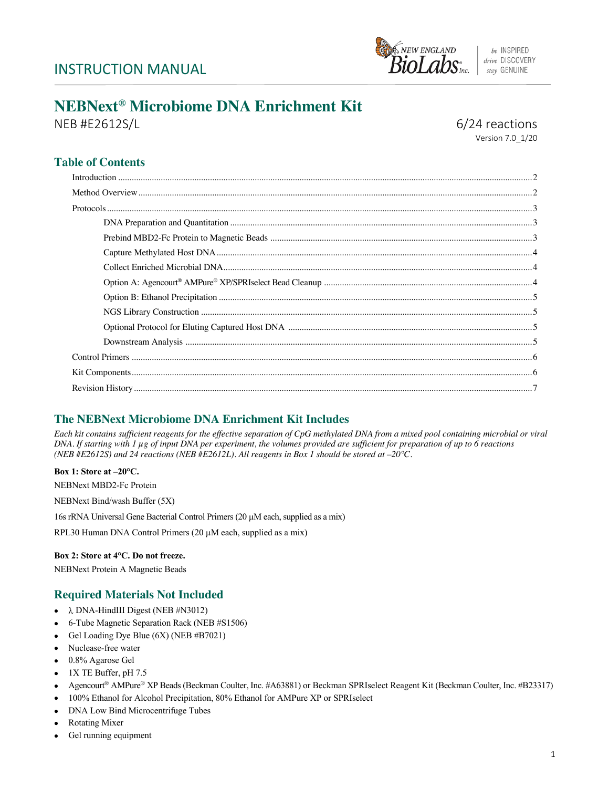# INSTRUCTION MANUAL



# **NEBNext® Microbiome DNA Enrichment Kit**

NEB #E2612S/L 6/24 reactions

Version 7.0\_1/20

# **Table of Contents**

# **The NEBNext Microbiome DNA Enrichment Kit Includes**

*Each kit contains sufficient reagents for the effective separation of CpG methylated DNA from a mixed pool containing microbial or viral DNA. If starting with 1 µg of input DNA per experiment, the volumes provided are sufficient for preparation of up to 6 reactions (NEB #E2612S) and 24 reactions (NEB #E2612L). All reagents in Box 1 should be stored at –20°C.* 

**Box 1: Store at –20°C.**  NEBNext MBD2-Fc Protein NEBNext Bind/wash Buffer (5X) 16s rRNA Universal Gene Bacterial Control Primers (20 µM each, supplied as a mix) RPL30 Human DNA Control Primers (20  $\mu$ M each, supplied as a mix)

### **Box 2: Store at 4°C. Do not freeze.**

NEBNext Protein A Magnetic Beads

# **Required Materials Not Included**

- $\lambda$  DNA-HindIII Digest (NEB #N3012)
- 6-Tube Magnetic Separation Rack (NEB #S1506)
- Gel Loading Dye Blue (6X) (NEB #B7021)
- Nuclease-free water
- 0.8% Agarose Gel
- 1X TE Buffer, pH 7.5
- Agencourt® AMPure® XP Beads (Beckman Coulter, Inc. #A63881) or Beckman SPRIselect Reagent Kit (Beckman Coulter, Inc. #B23317)
- 100% Ethanol for Alcohol Precipitation, 80% Ethanol for AMPure XP or SPRIselect
- DNA Low Bind Microcentrifuge Tubes
- Rotating Mixer
- Gel running equipment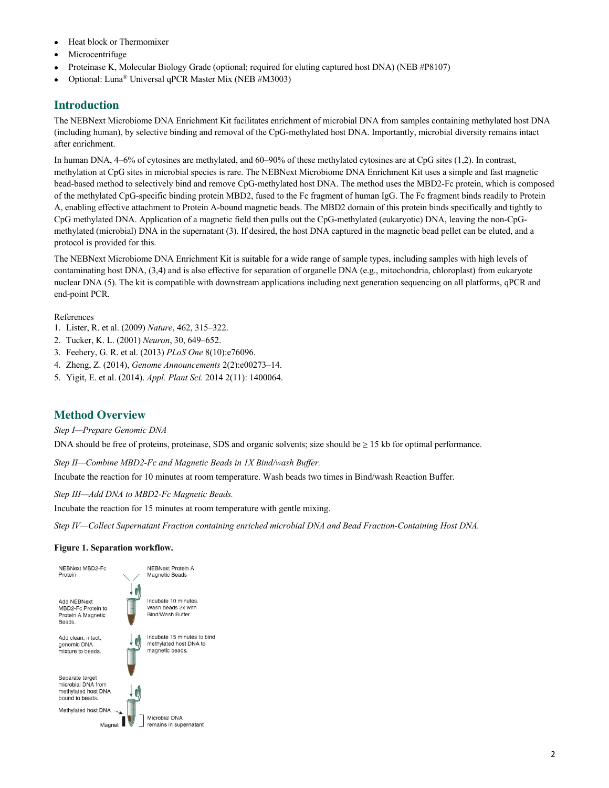- Heat block or Thermomixer
- **Microcentrifuge**
- Proteinase K, Molecular Biology Grade (optional; required for eluting captured host DNA) (NEB #P8107)
- Optional: Luna® Universal qPCR Master Mix (NEB #M3003)

# **Introduction**

The NEBNext Microbiome DNA Enrichment Kit facilitates enrichment of microbial DNA from samples containing methylated host DNA (including human), by selective binding and removal of the CpG-methylated host DNA. Importantly, microbial diversity remains intact after enrichment.

In human DNA, 4–6% of cytosines are methylated, and 60–90% of these methylated cytosines are at CpG sites (1,2). In contrast, methylation at CpG sites in microbial species is rare. The NEBNext Microbiome DNA Enrichment Kit uses a simple and fast magnetic bead-based method to selectively bind and remove CpG-methylated host DNA. The method uses the MBD2-Fc protein, which is composed of the methylated CpG-specific binding protein MBD2, fused to the Fc fragment of human IgG. The Fc fragment binds readily to Protein A, enabling effective attachment to Protein A-bound magnetic beads. The MBD2 domain of this protein binds specifically and tightly to CpG methylated DNA. Application of a magnetic field then pulls out the CpG-methylated (eukaryotic) DNA, leaving the non-CpGmethylated (microbial) DNA in the supernatant (3). If desired, the host DNA captured in the magnetic bead pellet can be eluted, and a protocol is provided for this.

The NEBNext Microbiome DNA Enrichment Kit is suitable for a wide range of sample types, including samples with high levels of contaminating host DNA, (3,4) and is also effective for separation of organelle DNA (e.g., mitochondria, chloroplast) from eukaryote nuclear DNA (5). The kit is compatible with downstream applications including next generation sequencing on all platforms, qPCR and end-point PCR.

#### References

- 1. Lister, R. et al. (2009) *Nature*, 462, 315–322.
- 2. Tucker, K. L. (2001) *Neuron*, 30, 649–652.
- 3. Feehery, G. R. et al. (2013) *PLoS One* 8(10):e76096.
- 4. Zheng, Z. (2014), *Genome Announcements* 2(2):e00273–14.
- 5. Yigit, E. et al. (2014). *Appl. Plant Sci.* 2014 2(11): 1400064.

#### **Method Overview**

*Step I—Prepare Genomic DNA*

DNA should be free of proteins, proteinase, SDS and organic solvents; size should be  $\geq 15$  kb for optimal performance.

*Step II—Combine MBD2-Fc and Magnetic Beads in 1X Bind/wash Buffer.*

Incubate the reaction for 10 minutes at room temperature. Wash beads two times in Bind/wash Reaction Buffer.

*Step III—Add DNA to MBD2-Fc Magnetic Beads.* 

Incubate the reaction for 15 minutes at room temperature with gentle mixing.

*Step IV—Collect Supernatant Fraction containing enriched microbial DNA and Bead Fraction-Containing Host DNA.* 

#### **Figure 1. Separation workflow.**

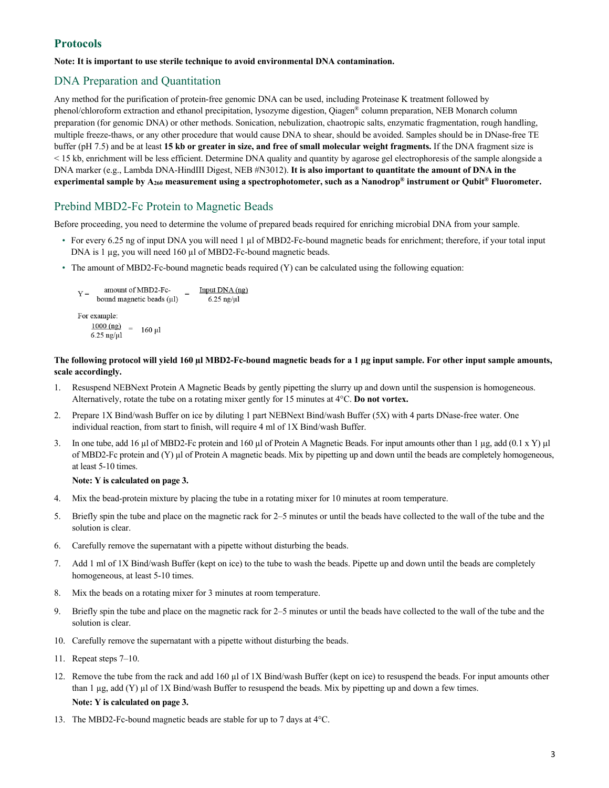# **Protocols**

#### **Note: It is important to use sterile technique to avoid environmental DNA contamination.**

### DNA Preparation and Quantitation

Any method for the purification of protein-free genomic DNA can be used, including Proteinase K treatment followed by phenol/chloroform extraction and ethanol precipitation, lysozyme digestion, Qiagen® column preparation, NEB Monarch column preparation (for genomic DNA) or other methods. Sonication, nebulization, chaotropic salts, enzymatic fragmentation, rough handling, multiple freeze-thaws, or any other procedure that would cause DNA to shear, should be avoided. Samples should be in DNase-free TE buffer (pH 7.5) and be at least **15 kb or greater in size, and free of small molecular weight fragments.** If the DNA fragment size is < 15 kb, enrichment will be less efficient. Determine DNA quality and quantity by agarose gel electrophoresis of the sample alongside a DNA marker (e.g., Lambda DNA-HindIII Digest, NEB #N3012). **It is also important to quantitate the amount of DNA in the experimental sample by A260 measurement using a spectrophotometer, such as a Nanodrop® instrument or Qubit® Fluorometer.**

# Prebind MBD2-Fc Protein to Magnetic Beads

Before proceeding, you need to determine the volume of prepared beads required for enriching microbial DNA from your sample.

- For every 6.25 ng of input DNA you will need 1 µl of MBD2-Fc-bound magnetic beads for enrichment; therefore, if your total input DNA is 1 µg, you will need 160 µl of MBD2-Fc-bound magnetic beads.
- The amount of MBD2-Fc-bound magnetic beads required (Y) can be calculated using the following equation:

```
amount of MBD2-Fc-
                                                Input DNA (ng)
Y =bound magnetic beads (\mu l)6.25 ng/\mul
For example:
     \frac{1000 \text{ (ng)}}{6.25 \text{ no/u}} = 160 \text{ µl}6.25 ng/\mul
```
#### **The following protocol will yield 160 µl MBD2-Fc-bound magnetic beads for a 1 µg input sample. For other input sample amounts, scale accordingly.**

- 1. Resuspend NEBNext Protein A Magnetic Beads by gently pipetting the slurry up and down until the suspension is homogeneous. Alternatively, rotate the tube on a rotating mixer gently for 15 minutes at 4°C. **Do not vortex.**
- 2. Prepare 1X Bind/wash Buffer on ice by diluting 1 part NEBNext Bind/wash Buffer (5X) with 4 parts DNase-free water. One individual reaction, from start to finish, will require 4 ml of 1X Bind/wash Buffer.
- 3. In one tube, add 16 µl of MBD2-Fc protein and 160 µl of Protein A Magnetic Beads. For input amounts other than 1 µg, add (0.1 x Y) µl of MBD2-Fc protein and (Y) µl of Protein A magnetic beads. Mix by pipetting up and down until the beads are completely homogeneous, at least 5-10 times.

#### **Note: Y is calculated on page 3.**

- 4. Mix the bead-protein mixture by placing the tube in a rotating mixer for 10 minutes at room temperature.
- 5. Briefly spin the tube and place on the magnetic rack for 2–5 minutes or until the beads have collected to the wall of the tube and the solution is clear.
- 6. Carefully remove the supernatant with a pipette without disturbing the beads.
- 7. Add 1 ml of 1X Bind/wash Buffer (kept on ice) to the tube to wash the beads. Pipette up and down until the beads are completely homogeneous, at least 5-10 times.
- 8. Mix the beads on a rotating mixer for 3 minutes at room temperature.
- 9. Briefly spin the tube and place on the magnetic rack for 2–5 minutes or until the beads have collected to the wall of the tube and the solution is clear.
- 10. Carefully remove the supernatant with a pipette without disturbing the beads.
- 11. Repeat steps 7–10.
- 12. Remove the tube from the rack and add 160 µl of 1X Bind/wash Buffer (kept on ice) to resuspend the beads. For input amounts other than 1 µg, add (Y) µl of 1X Bind/wash Buffer to resuspend the beads. Mix by pipetting up and down a few times. **Note: Y is calculated on page 3.**
- 13. The MBD2-Fc-bound magnetic beads are stable for up to 7 days at 4°C.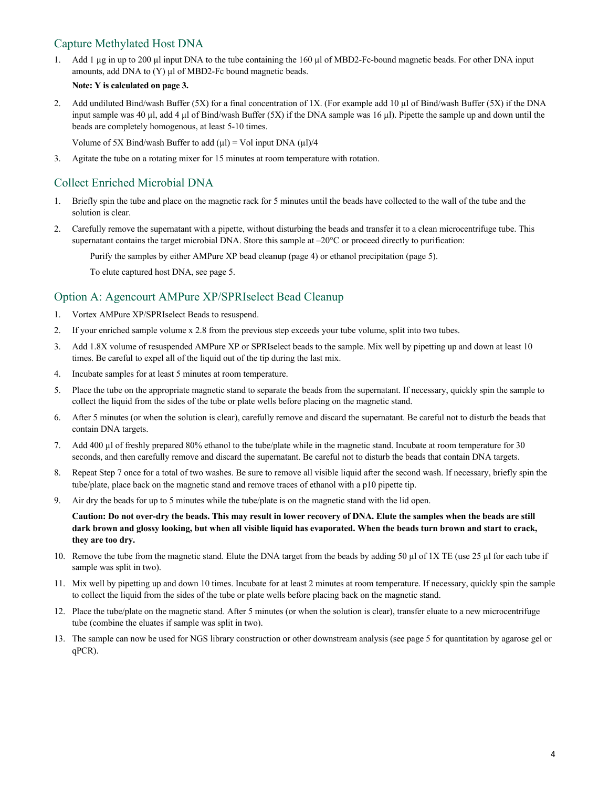# Capture Methylated Host DNA

1. Add 1 µg in up to 200 µl input DNA to the tube containing the 160 µl of MBD2-Fc-bound magnetic beads. For other DNA input amounts, add DNA to (Y) µl of MBD2-Fc bound magnetic beads.

#### **Note: Y is calculated on page 3.**

2. Add undiluted Bind/wash Buffer (5X) for a final concentration of 1X. (For example add 10 µl of Bind/wash Buffer (5X) if the DNA input sample was 40 µl, add 4 µl of Bind/wash Buffer (5X) if the DNA sample was 16 µl). Pipette the sample up and down until the beads are completely homogenous, at least 5-10 times.

Volume of 5X Bind/wash Buffer to add  $(\mu l)$  = Vol input DNA  $(\mu l)/4$ 

3. Agitate the tube on a rotating mixer for 15 minutes at room temperature with rotation.

# Collect Enriched Microbial DNA

- 1. Briefly spin the tube and place on the magnetic rack for 5 minutes until the beads have collected to the wall of the tube and the solution is clear.
- 2. Carefully remove the supernatant with a pipette, without disturbing the beads and transfer it to a clean microcentrifuge tube. This supernatant contains the target microbial DNA. Store this sample at  $-20^{\circ}$ C or proceed directly to purification:

Purify the samples by either AMPure XP bead cleanup (page 4) or ethanol precipitation (page 5).

To elute captured host DNA, see page 5.

# Option A: Agencourt AMPure XP/SPRIselect Bead Cleanup

- 1. Vortex AMPure XP/SPRIselect Beads to resuspend.
- 2. If your enriched sample volume x 2.8 from the previous step exceeds your tube volume, split into two tubes.
- 3. Add 1.8X volume of resuspended AMPure XP or SPRIselect beads to the sample. Mix well by pipetting up and down at least 10 times. Be careful to expel all of the liquid out of the tip during the last mix.
- 4. Incubate samples for at least 5 minutes at room temperature.
- 5. Place the tube on the appropriate magnetic stand to separate the beads from the supernatant. If necessary, quickly spin the sample to collect the liquid from the sides of the tube or plate wells before placing on the magnetic stand.
- 6. After 5 minutes (or when the solution is clear), carefully remove and discard the supernatant. Be careful not to disturb the beads that contain DNA targets.
- 7. Add 400 µl of freshly prepared 80% ethanol to the tube/plate while in the magnetic stand. Incubate at room temperature for 30 seconds, and then carefully remove and discard the supernatant. Be careful not to disturb the beads that contain DNA targets.
- 8. Repeat Step 7 once for a total of two washes. Be sure to remove all visible liquid after the second wash. If necessary, briefly spin the tube/plate, place back on the magnetic stand and remove traces of ethanol with a p10 pipette tip.
- 9. Air dry the beads for up to 5 minutes while the tube/plate is on the magnetic stand with the lid open.

**Caution: Do not over-dry the beads. This may result in lower recovery of DNA. Elute the samples when the beads are still dark brown and glossy looking, but when all visible liquid has evaporated. When the beads turn brown and start to crack, they are too dry.** 

- 10. Remove the tube from the magnetic stand. Elute the DNA target from the beads by adding 50 µl of 1X TE (use 25 µl for each tube if sample was split in two).
- 11. Mix well by pipetting up and down 10 times. Incubate for at least 2 minutes at room temperature. If necessary, quickly spin the sample to collect the liquid from the sides of the tube or plate wells before placing back on the magnetic stand.
- 12. Place the tube/plate on the magnetic stand. After 5 minutes (or when the solution is clear), transfer eluate to a new microcentrifuge tube (combine the eluates if sample was split in two).
- 13. The sample can now be used for NGS library construction or other downstream analysis (see page 5 for quantitation by agarose gel or qPCR).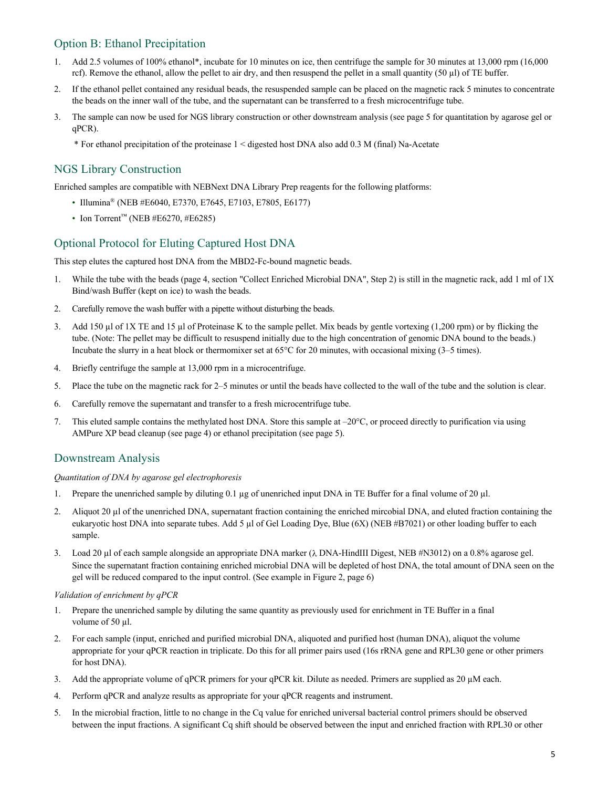# Option B: Ethanol Precipitation

- 1. Add 2.5 volumes of 100% ethanol\*, incubate for 10 minutes on ice, then centrifuge the sample for 30 minutes at 13,000 rpm (16,000 rcf). Remove the ethanol, allow the pellet to air dry, and then resuspend the pellet in a small quantity  $(50 \mu l)$  of TE buffer.
- 2. If the ethanol pellet contained any residual beads, the resuspended sample can be placed on the magnetic rack 5 minutes to concentrate the beads on the inner wall of the tube, and the supernatant can be transferred to a fresh microcentrifuge tube.
- 3. The sample can now be used for NGS library construction or other downstream analysis (see page 5 for quantitation by agarose gel or qPCR).
	- \* For ethanol precipitation of the proteinase 1 < digested host DNA also add 0.3 M (final) Na-Acetate

### NGS Library Construction

Enriched samples are compatible with NEBNext DNA Library Prep reagents for the following platforms:

- Illumina® (NEB #E6040, E7370, E7645, E7103, E7805, E6177)
- Ion Torrent<sup>™</sup> (NEB #E6270, #E6285)

### Optional Protocol for Eluting Captured Host DNA

This step elutes the captured host DNA from the MBD2-Fc-bound magnetic beads.

- 1. While the tube with the beads (page 4, section "Collect Enriched Microbial DNA", Step 2) is still in the magnetic rack, add 1 ml of 1X Bind/wash Buffer (kept on ice) to wash the beads.
- 2. Carefully remove the wash buffer with a pipette without disturbing the beads.
- 3. Add 150 µl of 1X TE and 15 µl of Proteinase K to the sample pellet. Mix beads by gentle vortexing (1,200 rpm) or by flicking the tube. (Note: The pellet may be difficult to resuspend initially due to the high concentration of genomic DNA bound to the beads.) Incubate the slurry in a heat block or thermomixer set at 65°C for 20 minutes, with occasional mixing (3–5 times).
- 4. Briefly centrifuge the sample at 13,000 rpm in a microcentrifuge.
- 5. Place the tube on the magnetic rack for 2–5 minutes or until the beads have collected to the wall of the tube and the solution is clear.
- 6. Carefully remove the supernatant and transfer to a fresh microcentrifuge tube.
- 7. This eluted sample contains the methylated host DNA. Store this sample at  $-20^{\circ}$ C, or proceed directly to purification via using AMPure XP bead cleanup (see page 4) or ethanol precipitation (see page 5).

#### Downstream Analysis

#### *Quantitation of DNA by agarose gel electrophoresis*

- 1. Prepare the unenriched sample by diluting 0.1 µg of unenriched input DNA in TE Buffer for a final volume of 20 µl.
- 2. Aliquot 20 µl of the unenriched DNA, supernatant fraction containing the enriched mircobial DNA, and eluted fraction containing the eukaryotic host DNA into separate tubes. Add 5 µl of Gel Loading Dye, Blue (6X) (NEB #B7021) or other loading buffer to each sample.
- 3. Load 20  $\mu$ l of each sample alongside an appropriate DNA marker ( $\lambda$  DNA-HindIII Digest, NEB #N3012) on a 0.8% agarose gel. Since the supernatant fraction containing enriched microbial DNA will be depleted of host DNA, the total amount of DNA seen on the gel will be reduced compared to the input control. (See example in Figure 2, page 6)

#### *Validation of enrichment by qPCR*

- 1. Prepare the unenriched sample by diluting the same quantity as previously used for enrichment in TE Buffer in a final volume of 50 µl.
- 2. For each sample (input, enriched and purified microbial DNA, aliquoted and purified host (human DNA), aliquot the volume appropriate for your qPCR reaction in triplicate. Do this for all primer pairs used (16s rRNA gene and RPL30 gene or other primers for host DNA).
- 3. Add the appropriate volume of qPCR primers for your qPCR kit. Dilute as needed. Primers are supplied as 20 µM each.
- 4. Perform qPCR and analyze results as appropriate for your qPCR reagents and instrument.
- 5. In the microbial fraction, little to no change in the Cq value for enriched universal bacterial control primers should be observed between the input fractions. A significant Cq shift should be observed between the input and enriched fraction with RPL30 or other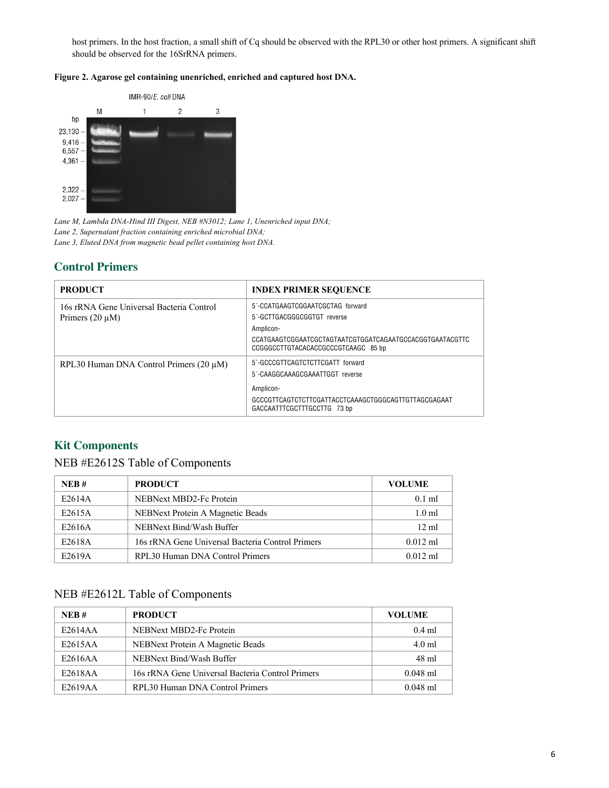host primers. In the host fraction, a small shift of Cq should be observed with the RPL30 or other host primers. A significant shift should be observed for the 16SrRNA primers.





*Lane M, Lambda DNA-Hind III Digest, NEB #N3012; Lane 1, Unenriched input DNA; Lane 2, Supernatant fraction containing enriched microbial DNA; Lane 3, Eluted DNA from magnetic bead pellet containing host DNA.*

# **Control Primers**

| <b>PRODUCT</b>                               | <b>INDEX PRIMER SEQUENCE</b>                                                                    |
|----------------------------------------------|-------------------------------------------------------------------------------------------------|
| 16s rRNA Gene Universal Bacteria Control     | 5'-CCATGAAGTCGGAATCGCTAG_forward                                                                |
| Primers $(20 \mu M)$                         | 5'-GCTTGACGGGCGGTGT reverse                                                                     |
|                                              | Amplicon-                                                                                       |
|                                              | CCATGAAGTCGGAATCGCTAGTAATCGTGGATCAGAATGCCACGGTGAATACGTTC<br>CCGGGCCTTGTACACACCGCCCGTCAAGC 85 bp |
| RPL30 Human DNA Control Primers $(20 \mu M)$ | 5'-GCCCGTTCAGTCTCTTCGATT_forward                                                                |
|                                              | 5'-CAAGGCAAAGCGAAATTGGT reverse                                                                 |
|                                              | Amplicon-                                                                                       |
|                                              | GCCCGTTCAGTCTCTTCGATTACCTCAAAGCTGGGCAGTTGTTAGCGAGAAT<br>GACCAATTTCGCTTTGCCTTG 73 bp             |

# **Kit Components**

# NEB #E2612S Table of Components

| NEB#   | <b>PRODUCT</b>                                   | <b>VOLUME</b>     |
|--------|--------------------------------------------------|-------------------|
| E2614A | NEBNext MBD2-Fc Protein                          | $0.1$ ml          |
| E2615A | NEBNext Protein A Magnetic Beads                 | 1.0 <sub>m1</sub> |
| E2616A | NEBNext Bind/Wash Buffer                         | $12 \text{ ml}$   |
| E2618A | 16s rRNA Gene Universal Bacteria Control Primers | $0.012$ ml        |
| E2619A | RPL30 Human DNA Control Primers                  | $0.012$ ml        |

# NEB #E2612L Table of Components

| NER#    | <b>PRODUCT</b>                                   | VOLUME     |
|---------|--------------------------------------------------|------------|
| E2614AA | NEBNext MBD2-Fc Protein                          | $0.4$ m    |
| E2615AA | NEBNext Protein A Magnetic Beads                 | $4.0$ ml   |
| E2616AA | NEBNext Bind/Wash Buffer                         | 48 ml      |
| E2618AA | 16s rRNA Gene Universal Bacteria Control Primers | $0.048$ ml |
| E2619AA | RPL30 Human DNA Control Primers                  | $0.048$ ml |